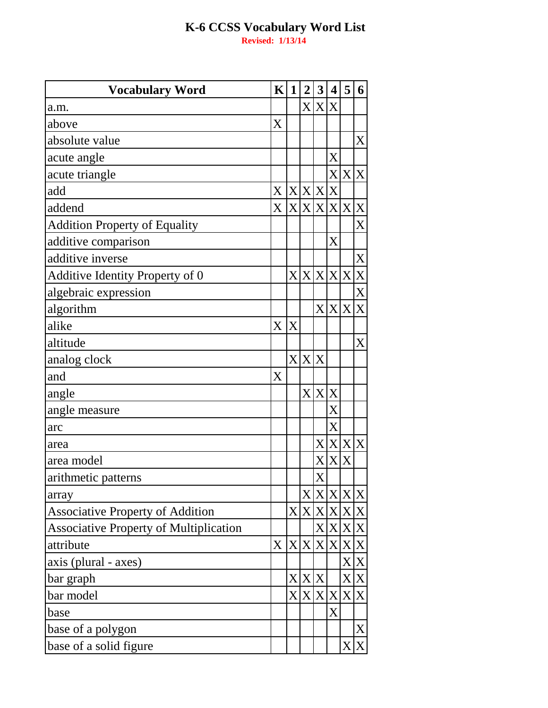| <b>Vocabulary Word</b>                  | $\mathbf{K}$          | 1              | $\overline{2}$ | 3       | 4                     | 5   | 6                |
|-----------------------------------------|-----------------------|----------------|----------------|---------|-----------------------|-----|------------------|
| a.m.                                    |                       |                | $\rm X$ $\mid$ | X X     |                       |     |                  |
| above                                   | $\overline{\text{X}}$ |                |                |         |                       |     |                  |
| absolute value                          |                       |                |                |         |                       |     | X                |
| acute angle                             |                       |                |                |         | X                     |     |                  |
| acute triangle                          |                       |                |                |         | X                     |     | X X              |
| add                                     | X                     |                | X X X X        |         |                       |     |                  |
| addend                                  | X                     |                | X X X X        |         |                       | X X |                  |
| <b>Addition Property of Equality</b>    |                       |                |                |         |                       |     | X                |
| additive comparison                     |                       |                |                |         | $\overline{\text{X}}$ |     |                  |
| additive inverse                        |                       |                |                |         |                       |     | X                |
| Additive Identity Property of 0         |                       | X <sub>l</sub> |                |         | X X X X               |     | $\mathbf X$      |
| algebraic expression                    |                       |                |                |         |                       |     | X                |
| algorithm                               |                       |                |                | X       | X                     | X   | $\boldsymbol{X}$ |
| alike                                   | X                     | X              |                |         |                       |     |                  |
| altitude                                |                       |                |                |         |                       |     | X                |
| analog clock                            |                       | X <sub>l</sub> | X              | X       |                       |     |                  |
| and                                     | X                     |                |                |         |                       |     |                  |
| angle                                   |                       |                |                | X X X   |                       |     |                  |
| angle measure                           |                       |                |                |         | X                     |     |                  |
| arc                                     |                       |                |                |         | $\rm X$               |     |                  |
| area                                    |                       |                |                | X       | X                     |     | X X              |
| area model                              |                       |                |                | $\rm X$ | X                     | X   |                  |
| arithmetic patterns                     |                       |                |                | X       |                       |     |                  |
| array                                   |                       |                |                |         | X X X                 | X   | X                |
| <b>Associative Property of Addition</b> |                       |                | X X X X X X    |         |                       |     |                  |
| Associative Property of Multiplication  |                       |                |                |         | X X X X               |     |                  |
| attribute                               | X                     |                | X X            |         | X X                   |     | X X              |
| axis (plural - axes)                    |                       |                |                |         |                       |     | X X              |
| bar graph                               |                       |                | X X X          |         |                       |     | X X              |
| bar model                               |                       | $\rm X$        |                | X X X   |                       |     | X X              |
| base                                    |                       |                |                |         | X                     |     |                  |
| base of a polygon                       |                       |                |                |         |                       |     | X                |
| base of a solid figure                  |                       |                |                |         |                       | X   | $\mathbf X$      |
|                                         |                       |                |                |         |                       |     |                  |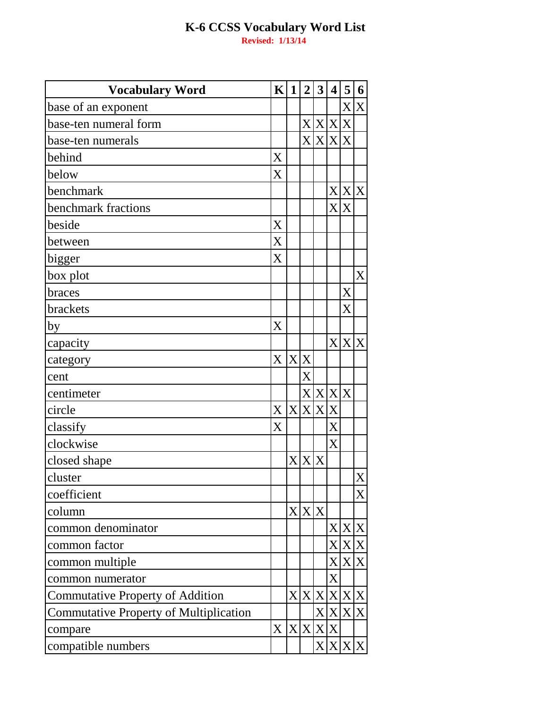| <b>Vocabulary Word</b>                        | $\mathbf{K}$ | $\mathbf 1$  | $\overline{2}$ | $\mathbf{3}$     | $\overline{\mathbf{4}}$ | 5                       | 6                 |
|-----------------------------------------------|--------------|--------------|----------------|------------------|-------------------------|-------------------------|-------------------|
| base of an exponent                           |              |              |                |                  |                         |                         | XX                |
| base-ten numeral form                         |              |              | X <sub>l</sub> | X                | $\mathbf{X}$            | X                       |                   |
| base-ten numerals                             |              |              |                | X X X X          |                         |                         |                   |
| behind                                        | X            |              |                |                  |                         |                         |                   |
| below                                         | X            |              |                |                  |                         |                         |                   |
| benchmark                                     |              |              |                |                  |                         | X X X                   |                   |
| benchmark fractions                           |              |              |                |                  | $\mathbf{X}$            | X                       |                   |
| beside                                        | X            |              |                |                  |                         |                         |                   |
| between                                       | X            |              |                |                  |                         |                         |                   |
| bigger                                        | X            |              |                |                  |                         |                         |                   |
| box plot                                      |              |              |                |                  |                         |                         | X                 |
| braces                                        |              |              |                |                  |                         | X                       |                   |
| brackets                                      |              |              |                |                  |                         | $\overline{\mathrm{X}}$ |                   |
| by                                            | X            |              |                |                  |                         |                         |                   |
| capacity                                      |              |              |                |                  |                         | X X X                   |                   |
| category                                      | X            | $\mathbf{X}$ | X              |                  |                         |                         |                   |
| cent                                          |              |              | X              |                  |                         |                         |                   |
| centimeter                                    |              |              |                | X X X X          |                         |                         |                   |
| circle                                        | X            |              |                | X X X X          |                         |                         |                   |
| classify                                      | X            |              |                |                  | $\overline{X}$          |                         |                   |
| clockwise                                     |              |              |                |                  | $\overline{\text{X}}$   |                         |                   |
| closed shape                                  |              | $\rm X$      | X              | $\boldsymbol{X}$ |                         |                         |                   |
| cluster                                       |              |              |                |                  |                         |                         | X                 |
| coefficient                                   |              |              |                |                  |                         |                         | $\rm\overline{X}$ |
| column                                        |              |              | X X X          |                  |                         |                         |                   |
| common denominator                            |              |              |                |                  |                         | X X X                   |                   |
| common factor                                 |              |              |                |                  |                         | X X X                   |                   |
| common multiple                               |              |              |                |                  |                         | X X X                   |                   |
| common numerator                              |              |              |                |                  | $\overline{X}$          |                         |                   |
| <b>Commutative Property of Addition</b>       |              | $\rm X$      | X <sub>l</sub> | X                |                         | X X X                   |                   |
| <b>Commutative Property of Multiplication</b> |              |              |                | $\mathbf{X}$     |                         | X X X                   |                   |
| compare                                       | X            |              | X X            |                  | X X                     |                         |                   |
| compatible numbers                            |              |              |                |                  |                         |                         | X X X X           |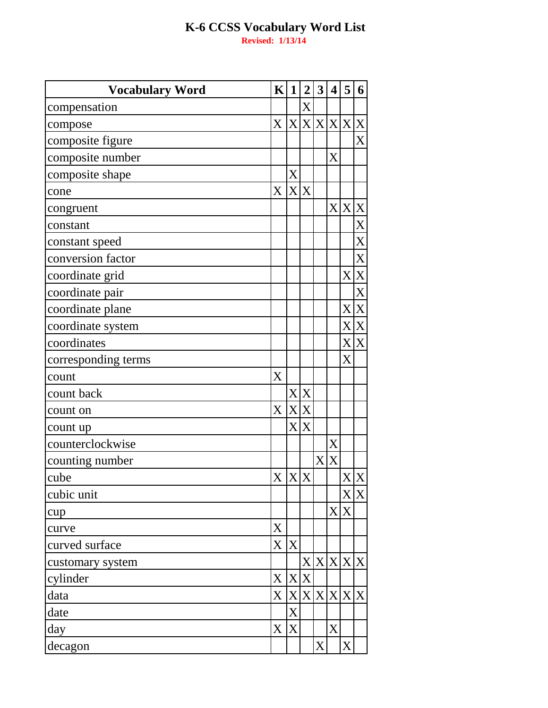| <b>Vocabulary Word</b> | K                         | 1                 | $\overline{2}$ | 3 | $\overline{\mathbf{4}}$ | 5                | 6           |
|------------------------|---------------------------|-------------------|----------------|---|-------------------------|------------------|-------------|
| compensation           |                           |                   | X              |   |                         |                  |             |
| compose                | $\mathbf{X}$              |                   |                |   |                         | X X X X X        |             |
| composite figure       |                           |                   |                |   |                         |                  | X           |
| composite number       |                           |                   |                |   | X                       |                  |             |
| composite shape        |                           | $\rm\overline{X}$ |                |   |                         |                  |             |
| cone                   | X                         | X <sub>l</sub>    | X              |   |                         |                  |             |
| congruent              |                           |                   |                |   | $\rm X$                 | X <sub>l</sub>   | $\mathbf X$ |
| constant               |                           |                   |                |   |                         |                  | X           |
| constant speed         |                           |                   |                |   |                         |                  | X           |
| conversion factor      |                           |                   |                |   |                         |                  | X           |
| coordinate grid        |                           |                   |                |   |                         |                  | X X         |
| coordinate pair        |                           |                   |                |   |                         |                  | X           |
| coordinate plane       |                           |                   |                |   |                         |                  | X X         |
| coordinate system      |                           |                   |                |   |                         |                  | X X         |
| coordinates            |                           |                   |                |   |                         |                  | X X         |
| corresponding terms    |                           |                   |                |   |                         | $\rm X$          |             |
| count                  | X                         |                   |                |   |                         |                  |             |
| count back             |                           |                   | XX             |   |                         |                  |             |
| count on               | $\boldsymbol{\mathrm{X}}$ | X <sub>l</sub>    | X              |   |                         |                  |             |
| count up               |                           | $\rm X$ $\mid$    | X              |   |                         |                  |             |
| counterclockwise       |                           |                   |                |   | $\rm X$                 |                  |             |
| counting number        |                           |                   |                | X | X                       |                  |             |
| cube                   | X X X                     |                   |                |   |                         |                  | X X         |
| cubic unit             |                           |                   |                |   |                         |                  | X X         |
| cup                    |                           |                   |                |   | X <sub>l</sub>          | $\boldsymbol{X}$ |             |
| curve                  | X                         |                   |                |   |                         |                  |             |
| curved surface         | $\mathbf{X}$              | X                 |                |   |                         |                  |             |
| customary system       |                           |                   | $\rm X$ $\mid$ |   |                         | X X X X          |             |
| cylinder               | $\mathbf X$               | X                 | $\mathbf X$    |   |                         |                  |             |
| data                   | $X_{\mathcal{E}}$         |                   |                |   |                         | X X X X X X      |             |
| date                   |                           | $\rm X$           |                |   |                         |                  |             |
| day                    | X                         | $\overline{X}$    |                |   | X                       |                  |             |
| decagon                |                           |                   |                | X |                         | X <sub>l</sub>   |             |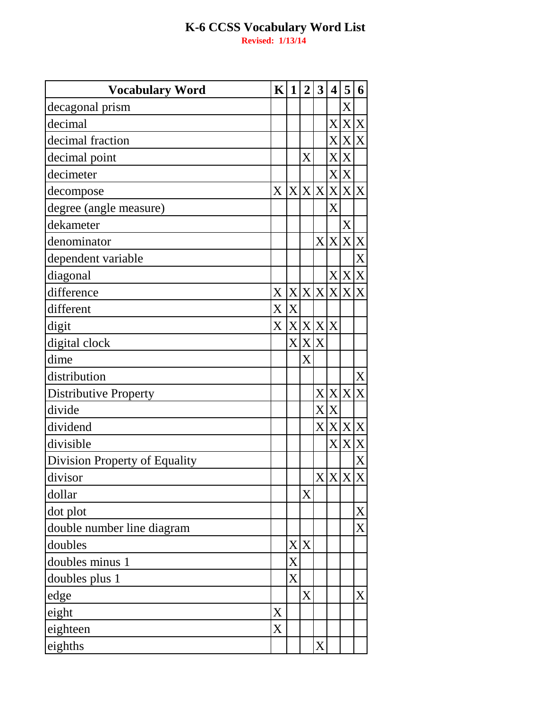**Vocabulary Word**  $K|1|$  $\overline{2}$  $\overline{3}$  $5|6$  $\overline{4}$  $\overline{X}$ decagonal prism  $X|X$ X decimal  $\overline{X}$  $\overline{\mathbf{X}}$ decimal fraction X  $\overline{\text{X}}$ decimal point  $\overline{X}$  $\overline{X}$  $\overline{X}$ decimeter  $X|X|$  $|X|X$ lx  $\overline{X}$  $\overline{X}$ decompose  $\overline{X}$ degree (angle measure)  $\overline{X}$ dekameter  $\overline{\mathrm{X}}$  $X|X|$  $\overline{\mathbf{X}}$ denominator  $\overline{X}$ dependent variable X diagonal  $\mathbf{X}$ X  $X|X|X|X|X$  $\mathbf{X}$ difference  $\overline{\mathbf{X}}$  $\overline{\mathbf{X}}$ different  $\mathbf{X}$  $x|x|x|$ digit  $X|X|X$ digital clock  $\overline{X}$ dime  $\overline{X}$ distribution  $\overline{\mathrm{X}}$  $X|X|X$ **Distributive Property**  $\overline{\mathrm{X}}$ X divide  $\overline{X|X|X|X}$ dividend  $\overline{X}\overline{X}$ divisible  $\overline{\text{X}}$ Division Property of Equality  $x|x|x$  $\overline{\mathbf{X}}$ divisor  $\overline{X}$ dollar  $\overline{\mathrm{X}}$ dot plot  $\overline{X}$ double number line diagram  $X|X$ doubles X doubles minus 1  $\overline{\overline{\mathbf{X}}}$ doubles plus 1  $\overline{X}$  $\overline{X}$ edge X eight  $\overline{X}$ eighteen  $\overline{X}$ eighths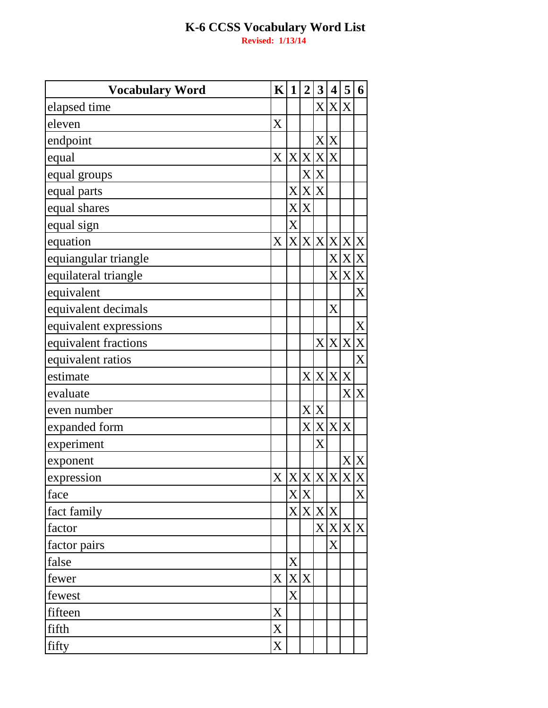| <b>Vocabulary Word</b> | $\mathbf K$             | 1                     | $\overline{2}$           | 3     | 4     | 5           | 6           |
|------------------------|-------------------------|-----------------------|--------------------------|-------|-------|-------------|-------------|
| elapsed time           |                         |                       |                          |       | X X   | X           |             |
| eleven                 | $\overline{\mathrm{X}}$ |                       |                          |       |       |             |             |
| endpoint               |                         |                       |                          |       | X X   |             |             |
| equal                  | $\mathbf{X}$            | X <sub>l</sub>        |                          | X X X |       |             |             |
| equal groups           |                         |                       | $\mathbf{X}^{\parallel}$ | X     |       |             |             |
| equal parts            |                         | X                     |                          | X X   |       |             |             |
| equal shares           |                         | X <sub>l</sub>        | $\boldsymbol{X}$         |       |       |             |             |
| equal sign             |                         | X                     |                          |       |       |             |             |
| equation               | X                       |                       | X X X X                  |       |       | X           | X           |
| equiangular triangle   |                         |                       |                          |       | X     |             | X X         |
| equilateral triangle   |                         |                       |                          |       |       | X X X       |             |
| equivalent             |                         |                       |                          |       |       |             | X           |
| equivalent decimals    |                         |                       |                          |       | X     |             |             |
| equivalent expressions |                         |                       |                          |       |       |             | $\mathbf X$ |
| equivalent fractions   |                         |                       |                          | X     | X     | X           | X           |
| equivalent ratios      |                         |                       |                          |       |       |             | X           |
| estimate               |                         |                       |                          |       |       | X X X X     |             |
| evaluate               |                         |                       |                          |       |       |             | X X         |
| even number            |                         |                       |                          | X X   |       |             |             |
| expanded form          |                         |                       |                          |       | X X X | X           |             |
| experiment             |                         |                       |                          | X     |       |             |             |
| exponent               |                         |                       |                          |       |       | $\mathbf X$ | X           |
| expression             | $\mathbf{X}^{\top}$     | $x \times x \times x$ |                          |       |       |             |             |
| face                   |                         |                       | X X                      |       |       |             | X           |
| fact family            |                         |                       | X X X X                  |       |       |             |             |
| factor                 |                         |                       |                          |       | X X   |             | X X         |
| factor pairs           |                         |                       |                          |       | X     |             |             |
| false                  |                         | X                     |                          |       |       |             |             |
| fewer                  | X                       | X                     | X                        |       |       |             |             |
| fewest                 |                         | $\overline{X}$        |                          |       |       |             |             |
| fifteen                | X                       |                       |                          |       |       |             |             |
| fifth                  | X                       |                       |                          |       |       |             |             |
| fifty                  | X                       |                       |                          |       |       |             |             |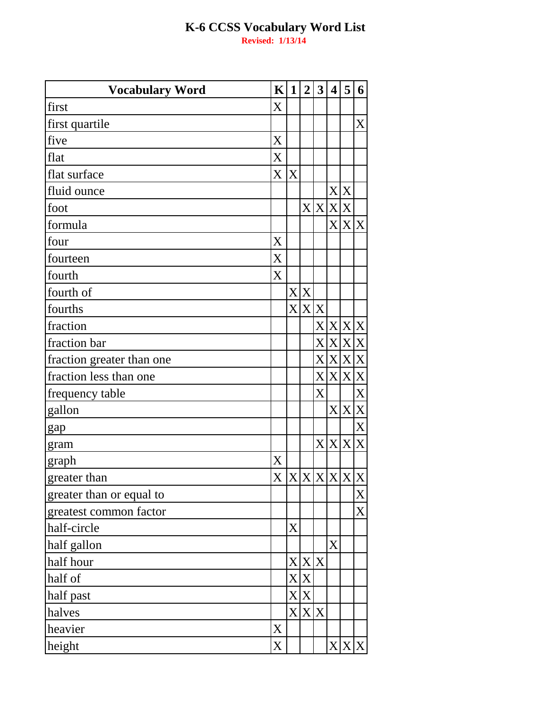| <b>Vocabulary Word</b>    | K | $\mathbf 1$       | $\overline{2}$ | 3                       | $\overline{\mathbf{4}}$ | 5              | 6                |
|---------------------------|---|-------------------|----------------|-------------------------|-------------------------|----------------|------------------|
| first                     | X |                   |                |                         |                         |                |                  |
| first quartile            |   |                   |                |                         |                         |                | X                |
| five                      | X |                   |                |                         |                         |                |                  |
| flat                      | X |                   |                |                         |                         |                |                  |
| flat surface              | X | X                 |                |                         |                         |                |                  |
| fluid ounce               |   |                   |                |                         | X <sub>l</sub>          | X              |                  |
| foot                      |   |                   | $\mathbf{X} $  | X                       | X                       | $\rm X$        |                  |
| formula                   |   |                   |                |                         | $\overline{\text{X}}$   |                | X X              |
| four                      | X |                   |                |                         |                         |                |                  |
| fourteen                  | X |                   |                |                         |                         |                |                  |
| fourth                    | X |                   |                |                         |                         |                |                  |
| fourth of                 |   |                   | X X            |                         |                         |                |                  |
| fourths                   |   | $\rm X$ $\mid$    |                | X X                     |                         |                |                  |
| fraction                  |   |                   |                |                         | X X X X                 |                |                  |
| fraction bar              |   |                   |                | $\overline{\mathrm{X}}$ | X                       | $\mathbf{X}$   | $\boldsymbol{X}$ |
| fraction greater than one |   |                   |                | $\overline{\mathrm{X}}$ | X                       | X <sub>l</sub> | X                |
| fraction less than one    |   |                   |                |                         | X X X X                 |                |                  |
| frequency table           |   |                   |                | X                       |                         |                | $\mathbf X$      |
| gallon                    |   |                   |                |                         |                         | X X X          |                  |
| gap                       |   |                   |                |                         |                         |                | $\mathbf X$      |
| gram                      |   |                   |                |                         | X X X X                 |                |                  |
| graph                     | X |                   |                |                         |                         |                |                  |
| greater than              |   | X X X X X X X     |                |                         |                         |                |                  |
| greater than or equal to  |   |                   |                |                         |                         |                | X                |
| greatest common factor    |   |                   |                |                         |                         |                | X                |
| half-circle               |   | $\rm\overline{X}$ |                |                         |                         |                |                  |
| half gallon               |   |                   |                |                         | X                       |                |                  |
| half hour                 |   |                   | X X X          |                         |                         |                |                  |
| half of                   |   |                   | X X            |                         |                         |                |                  |
| half past                 |   |                   | X X            |                         |                         |                |                  |
| halves                    |   |                   |                | X X X                   |                         |                |                  |
| heavier                   | X |                   |                |                         |                         |                |                  |
| height                    | X |                   |                |                         |                         | X X X          |                  |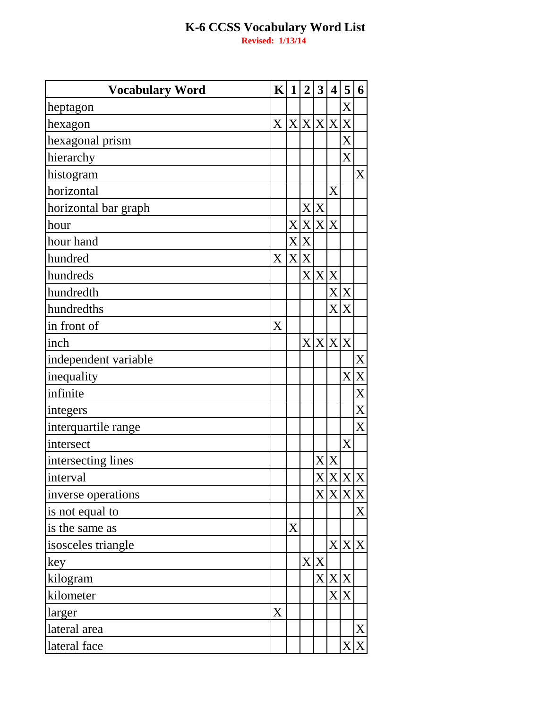| <b>Vocabulary Word</b> | K                         | 1            | $\overline{2}$           | $\mathbf{3}$     | $\overline{\mathbf{4}}$ | 5              | 6                         |
|------------------------|---------------------------|--------------|--------------------------|------------------|-------------------------|----------------|---------------------------|
| heptagon               |                           |              |                          |                  |                         | X              |                           |
| hexagon                | $\boldsymbol{\mathrm{X}}$ |              | X X X X                  |                  |                         | X              |                           |
| hexagonal prism        |                           |              |                          |                  |                         | X              |                           |
| hierarchy              |                           |              |                          |                  |                         | X              |                           |
| histogram              |                           |              |                          |                  |                         |                | $\mathbf X$               |
| horizontal             |                           |              |                          |                  | X                       |                |                           |
| horizontal bar graph   |                           |              | $\mathbf{X}$             | X                |                         |                |                           |
| hour                   |                           | X            | X                        |                  | X X                     |                |                           |
| hour hand              |                           | X            | X                        |                  |                         |                |                           |
| hundred                | X                         | $\mathbf{X}$ | X                        |                  |                         |                |                           |
| hundreds               |                           |              |                          | X X X            |                         |                |                           |
| hundredth              |                           |              |                          |                  | X                       | X              |                           |
| hundredths             |                           |              |                          |                  | X                       | X              |                           |
| in front of            | X                         |              |                          |                  |                         |                |                           |
| inch                   |                           |              | $\mathbf{X}^{\parallel}$ | $\boldsymbol{X}$ | X                       | X              |                           |
| independent variable   |                           |              |                          |                  |                         |                | X                         |
| inequality             |                           |              |                          |                  |                         | X <sup>2</sup> | $\boldsymbol{\mathrm{X}}$ |
| infinite               |                           |              |                          |                  |                         |                | X                         |
| integers               |                           |              |                          |                  |                         |                | $\overline{X}$            |
| interquartile range    |                           |              |                          |                  |                         |                | X                         |
| intersect              |                           |              |                          |                  |                         | X              |                           |
| intersecting lines     |                           |              |                          | X                | X                       |                |                           |
| interval               |                           |              |                          |                  |                         | X X X          |                           |
| inverse operations     |                           |              |                          |                  | X X                     | X X            |                           |
| is not equal to        |                           |              |                          |                  |                         |                | $\mathbf X$               |
| is the same as         |                           | X            |                          |                  |                         |                |                           |
| isosceles triangle     |                           |              |                          |                  |                         | X X X          |                           |
| key                    |                           |              |                          | X X              |                         |                |                           |
| kilogram               |                           |              |                          |                  | X X                     | X              |                           |
| kilometer              |                           |              |                          |                  | X                       | X              |                           |
| larger                 | X                         |              |                          |                  |                         |                |                           |
| lateral area           |                           |              |                          |                  |                         |                | X                         |
| lateral face           |                           |              |                          |                  |                         | X              | X                         |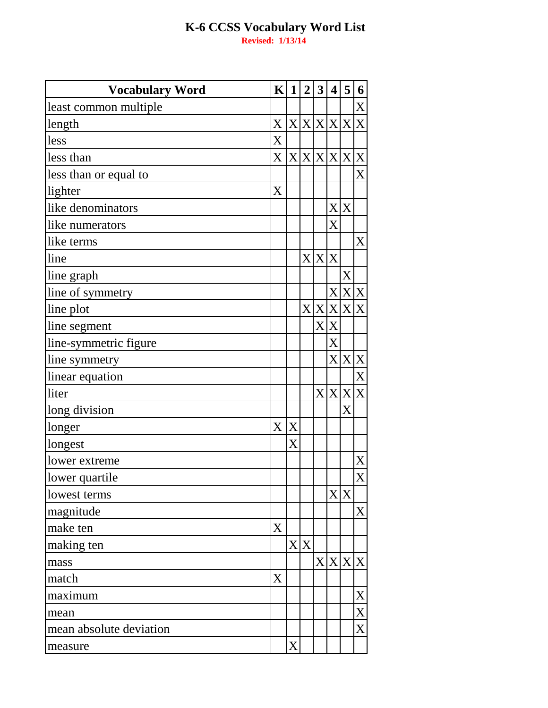| <b>Vocabulary Word</b>  | $\mathbf{K}$   | 1 | $\overline{2}$ | $\mathbf{3}$ | $\overline{\mathbf{4}}$ | 5 | 6                |
|-------------------------|----------------|---|----------------|--------------|-------------------------|---|------------------|
| least common multiple   |                |   |                |              |                         |   | X                |
| length                  | X              |   |                |              | X X X X                 | X | X                |
| less                    | X              |   |                |              |                         |   |                  |
| less than               | X <sub>1</sub> |   |                |              | X X X X X X             |   |                  |
| less than or equal to   |                |   |                |              |                         |   | X                |
| lighter                 | X              |   |                |              |                         |   |                  |
| like denominators       |                |   |                |              | X                       | X |                  |
| like numerators         |                |   |                |              | X                       |   |                  |
| like terms              |                |   |                |              |                         |   | X                |
| line                    |                |   |                |              | X X X                   |   |                  |
| line graph              |                |   |                |              |                         | X |                  |
| line of symmetry        |                |   |                |              | X                       |   | X X              |
| line plot               |                |   |                |              | X X X                   |   | X X              |
| line segment            |                |   |                | X            | X                       |   |                  |
| line-symmetric figure   |                |   |                |              | X                       |   |                  |
| line symmetry           |                |   |                |              | X                       | X | X                |
| linear equation         |                |   |                |              |                         |   | $\overline{X}$   |
| liter                   |                |   |                |              | X X X X                 |   |                  |
| long division           |                |   |                |              |                         | X |                  |
| longer                  | X              | X |                |              |                         |   |                  |
| longest                 |                | X |                |              |                         |   |                  |
| lower extreme           |                |   |                |              |                         |   | X                |
| lower quartile          |                |   |                |              |                         |   | X                |
| lowest terms            |                |   |                |              | X                       | X |                  |
| magnitude               |                |   |                |              |                         |   | $\boldsymbol{X}$ |
| make ten                | X              |   |                |              |                         |   |                  |
| making ten              |                |   | X X            |              |                         |   |                  |
| mass                    |                |   |                |              | X X                     |   | X X              |
| match                   | X              |   |                |              |                         |   |                  |
| maximum                 |                |   |                |              |                         |   | X                |
| mean                    |                |   |                |              |                         |   | X                |
| mean absolute deviation |                |   |                |              |                         |   | X                |
| measure                 |                | X |                |              |                         |   |                  |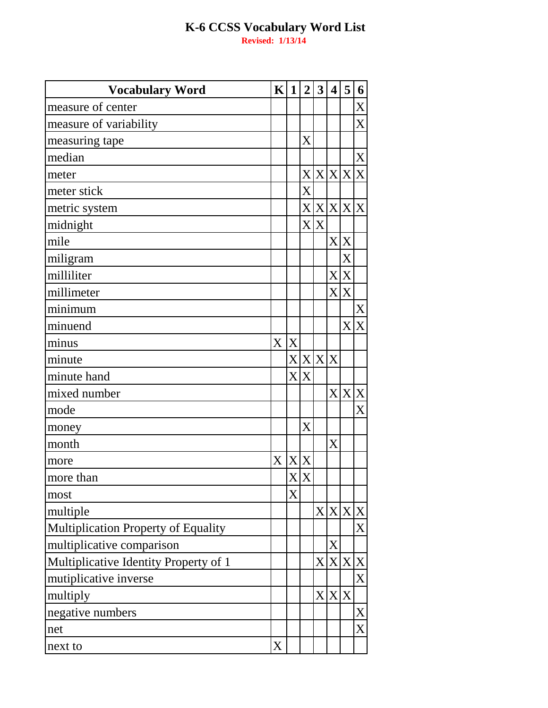| <b>Vocabulary Word</b>                | $\mathbf{K}$ | 1 | $\overline{2}$        | $\mathbf{3}$ | $\overline{\mathbf{4}}$ | 5         | 6           |
|---------------------------------------|--------------|---|-----------------------|--------------|-------------------------|-----------|-------------|
| measure of center                     |              |   |                       |              |                         |           | X           |
| measure of variability                |              |   |                       |              |                         |           | X           |
| measuring tape                        |              |   | X                     |              |                         |           |             |
| median                                |              |   |                       |              |                         |           | $\mathbf X$ |
| meter                                 |              |   |                       |              | X X X X                 |           | X           |
| meter stick                           |              |   | X                     |              |                         |           |             |
| metric system                         |              |   |                       |              |                         | X X X X X |             |
| midnight                              |              |   | $\overline{X}$        | X            |                         |           |             |
| mile                                  |              |   |                       |              | $\mathbf{X}$            | X         |             |
| miligram                              |              |   |                       |              |                         | X         |             |
| milliliter                            |              |   |                       |              | X                       | X         |             |
| millimeter                            |              |   |                       |              | X                       | X         |             |
| minimum                               |              |   |                       |              |                         |           | $\mathbf X$ |
| minuend                               |              |   |                       |              |                         | X         | X           |
| minus                                 | $\mathbf X$  | X |                       |              |                         |           |             |
| minute                                |              |   | X X X X               |              |                         |           |             |
| minute hand                           |              |   | X X                   |              |                         |           |             |
| mixed number                          |              |   |                       |              | X                       |           | X X         |
| mode                                  |              |   |                       |              |                         |           | X           |
| money                                 |              |   | $\overline{\text{X}}$ |              |                         |           |             |
| month                                 |              |   |                       |              | X                       |           |             |
| more                                  | X            | X | X                     |              |                         |           |             |
| more than                             |              |   | $X \overline{X}$      |              |                         |           |             |
| most                                  |              | X |                       |              |                         |           |             |
| multiple                              |              |   |                       |              |                         | X X X X   |             |
| Multiplication Property of Equality   |              |   |                       |              |                         |           | X           |
| multiplicative comparison             |              |   |                       |              | X                       |           |             |
| Multiplicative Identity Property of 1 |              |   |                       | X            | X                       | X X       |             |
| mutiplicative inverse                 |              |   |                       |              |                         |           | X           |
| multiply                              |              |   |                       |              | X X X                   |           |             |
| negative numbers                      |              |   |                       |              |                         |           | X           |
| net                                   |              |   |                       |              |                         |           | X           |
| next to                               | X            |   |                       |              |                         |           |             |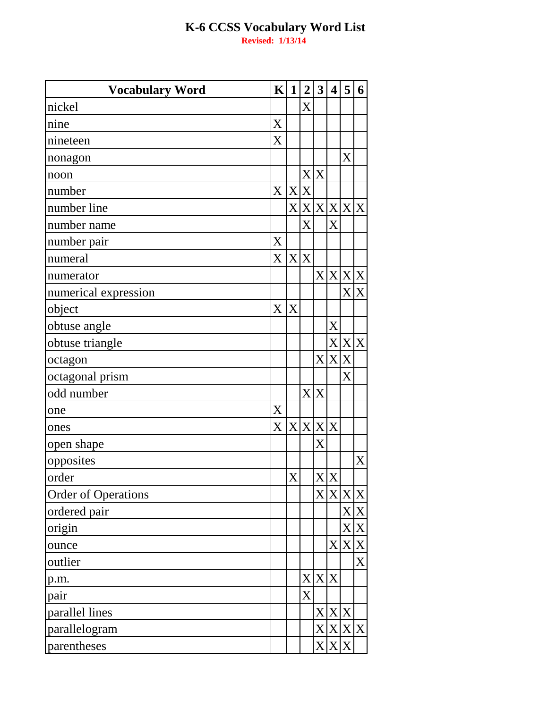| <b>Vocabulary Word</b>     | $\mathbf{K}$              | $\mathbf{1}$ | $\overline{2}$ | 3                       | 4              | 5           | 6   |
|----------------------------|---------------------------|--------------|----------------|-------------------------|----------------|-------------|-----|
| nickel                     |                           |              | X              |                         |                |             |     |
| nine                       | X                         |              |                |                         |                |             |     |
| nineteen                   | X                         |              |                |                         |                |             |     |
| nonagon                    |                           |              |                |                         |                | X           |     |
| noon                       |                           |              |                | X X                     |                |             |     |
| number                     | X X X                     |              |                |                         |                |             |     |
| number line                |                           |              |                |                         |                | X X X X X X |     |
| number name                |                           |              | X              |                         | X              |             |     |
| number pair                | X                         |              |                |                         |                |             |     |
| numeral                    | X                         |              | X X            |                         |                |             |     |
| numerator                  |                           |              |                |                         |                | X X X X     |     |
| numerical expression       |                           |              |                |                         |                |             | X X |
| object                     | X                         | X            |                |                         |                |             |     |
| obtuse angle               |                           |              |                |                         | X              |             |     |
| obtuse triangle            |                           |              |                |                         |                | X X X       |     |
| octagon                    |                           |              |                | $\overline{\mathrm{X}}$ | X              | X           |     |
| octagonal prism            |                           |              |                |                         |                | X           |     |
| odd number                 |                           |              |                | X X                     |                |             |     |
| one                        | X                         |              |                |                         |                |             |     |
| ones                       | $\boldsymbol{\mathrm{X}}$ |              | X X X X        |                         |                |             |     |
| open shape                 |                           |              |                | X                       |                |             |     |
| opposites                  |                           |              |                |                         |                |             | X   |
| order                      |                           | $\mathbf{X}$ |                |                         | X X            |             |     |
| <b>Order of Operations</b> |                           |              |                |                         |                | X X X X     |     |
| ordered pair               |                           |              |                |                         |                |             | X X |
| origin                     |                           |              |                |                         |                |             | X X |
| ounce                      |                           |              |                |                         | X <sub>l</sub> |             | X X |
| outlier                    |                           |              |                |                         |                |             | X   |
| p.m.                       |                           |              |                |                         | X X X          |             |     |
| pair                       |                           |              | X              |                         |                |             |     |
| parallel lines             |                           |              |                |                         |                | X X X       |     |
| parallelogram              |                           |              |                |                         |                | X X X X     |     |
| parentheses                |                           |              |                | X                       |                | X X         |     |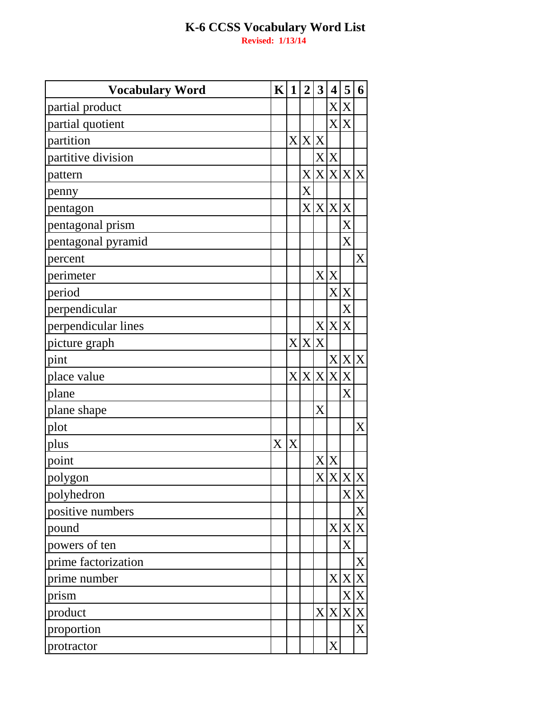| <b>Vocabulary Word</b> | $\mathbf{K}$ | 1 | $\overline{2}$ | $\mathbf{3}$          | 4       | 5     | 6           |
|------------------------|--------------|---|----------------|-----------------------|---------|-------|-------------|
| partial product        |              |   |                |                       | X       | X     |             |
| partial quotient       |              |   |                |                       | X       | X     |             |
| partition              |              |   | X X X          |                       |         |       |             |
| partitive division     |              |   |                |                       | X X     |       |             |
| pattern                |              |   | $\mathbf{X}$   |                       | X X     | X X   |             |
| penny                  |              |   | X              |                       |         |       |             |
| pentagon               |              |   | $\rm X$ $\mid$ | X X                   |         | X     |             |
| pentagonal prism       |              |   |                |                       |         | X     |             |
| pentagonal pyramid     |              |   |                |                       |         | X     |             |
| percent                |              |   |                |                       |         |       | X           |
| perimeter              |              |   |                |                       | X X     |       |             |
| period                 |              |   |                |                       | X       | X     |             |
| perpendicular          |              |   |                |                       |         | X     |             |
| perpendicular lines    |              |   |                |                       | X X     | X     |             |
| picture graph          |              | X | X              | X                     |         |       |             |
| pint                   |              |   |                |                       | X       |       | X X         |
| place value            |              |   |                |                       | X X X X | X     |             |
| plane                  |              |   |                |                       |         | X     |             |
| plane shape            |              |   |                | $\overline{\text{X}}$ |         |       |             |
| plot                   |              |   |                |                       |         |       | X           |
| plus                   | X            | X |                |                       |         |       |             |
| point                  |              |   |                | X                     | X       |       |             |
| polygon                |              |   |                |                       |         | X X X |             |
| polyhedron             |              |   |                |                       |         |       | X X         |
| positive numbers       |              |   |                |                       |         |       | X           |
| pound                  |              |   |                |                       | X       |       | X X         |
| powers of ten          |              |   |                |                       |         | X     |             |
| prime factorization    |              |   |                |                       |         |       | $\mathbf X$ |
| prime number           |              |   |                |                       | X       | X     | X           |
| prism                  |              |   |                |                       |         |       | X X         |
| product                |              |   |                |                       | X X     |       | X X         |
| proportion             |              |   |                |                       |         |       | X           |
| protractor             |              |   |                |                       | X       |       |             |
|                        |              |   |                |                       |         |       |             |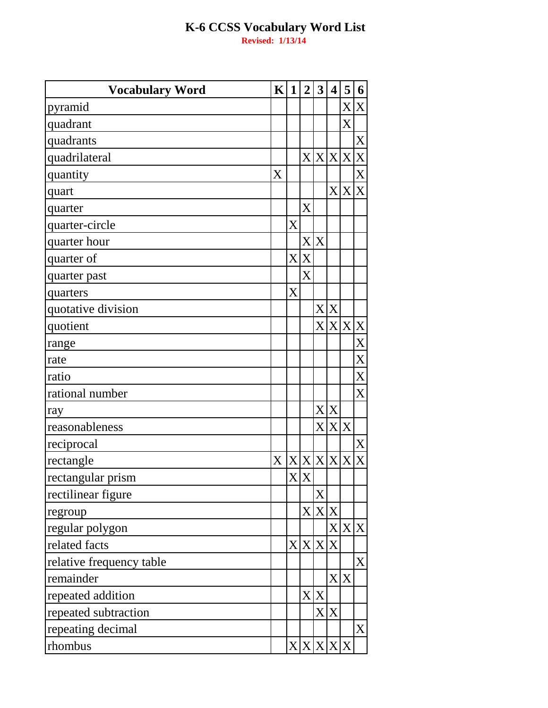| <b>Vocabulary Word</b>   | K | 1              | $\overline{2}$              | $\boldsymbol{3}$ | $\overline{\mathbf{4}}$ | 5   | 6                       |
|--------------------------|---|----------------|-----------------------------|------------------|-------------------------|-----|-------------------------|
| pyramid                  |   |                |                             |                  |                         |     | X X                     |
| quadrant                 |   |                |                             |                  |                         | X   |                         |
| quadrants                |   |                |                             |                  |                         |     | $\mathbf X$             |
| quadrilateral            |   |                |                             |                  | X X X                   | X   | $\mathbf X$             |
| quantity                 | X |                |                             |                  |                         |     | X                       |
| quart                    |   |                |                             |                  | X                       | X   | X                       |
| quarter                  |   |                | X                           |                  |                         |     |                         |
| quarter-circle           |   | X              |                             |                  |                         |     |                         |
| quarter hour             |   |                |                             | X X              |                         |     |                         |
| quarter of               |   | X <sub>l</sub> | X                           |                  |                         |     |                         |
| quarter past             |   |                | X                           |                  |                         |     |                         |
| quarters                 |   | X              |                             |                  |                         |     |                         |
| quotative division       |   |                |                             |                  | X X                     |     |                         |
| quotient                 |   |                |                             | X <sub>l</sub>   | X                       | X X |                         |
| range                    |   |                |                             |                  |                         |     | $\overline{X}$          |
| rate                     |   |                |                             |                  |                         |     | X                       |
| ratio                    |   |                |                             |                  |                         |     | $\overline{X}$          |
| rational number          |   |                |                             |                  |                         |     | X                       |
| ray                      |   |                |                             |                  | X X                     |     |                         |
| reasonableness           |   |                |                             | $\mathbf{X}$     | X                       | X   |                         |
| reciprocal               |   |                |                             |                  |                         |     | X                       |
| rectangle                | X |                | X X X                       |                  | X                       | X   | $\overline{\mathrm{X}}$ |
| rectangular prism        |   |                | $\overline{X} \overline{X}$ |                  |                         |     |                         |
| rectilinear figure       |   |                |                             | X                |                         |     |                         |
| regroup                  |   |                |                             | X X X            |                         |     |                         |
| regular polygon          |   |                |                             |                  | X                       | X X |                         |
| related facts            |   |                | X X X                       |                  | X                       |     |                         |
| relative frequency table |   |                |                             |                  |                         |     | $\boldsymbol{X}$        |
| remainder                |   |                |                             |                  | X                       | X   |                         |
| repeated addition        |   |                |                             | X X              |                         |     |                         |
| repeated subtraction     |   |                |                             |                  | X X                     |     |                         |
| repeating decimal        |   |                |                             |                  |                         |     | X                       |
| rhombus                  |   |                | X X X X                     |                  |                         | X   |                         |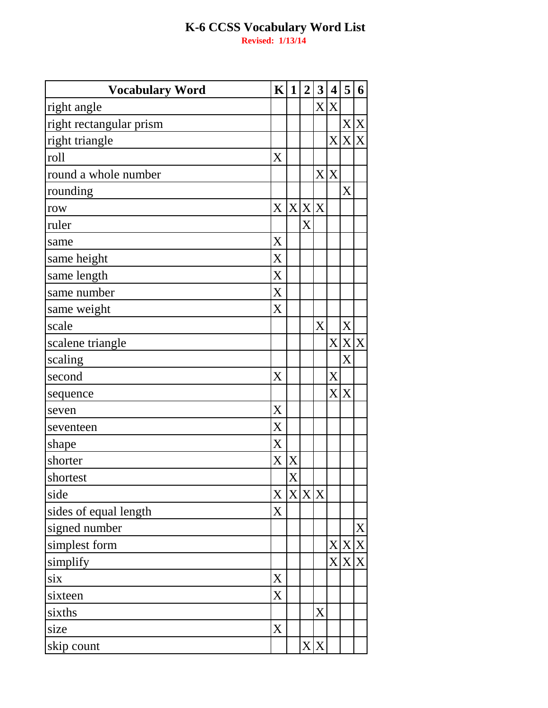| <b>Vocabulary Word</b>  | $\mathbf{K}$              | $\mathbf{1}$   | $\boldsymbol{2}$ | 3              | $\overline{\mathbf{4}}$ | 5           | 6           |
|-------------------------|---------------------------|----------------|------------------|----------------|-------------------------|-------------|-------------|
| right angle             |                           |                |                  | X <sub>l</sub> | X                       |             |             |
| right rectangular prism |                           |                |                  |                |                         | X X         |             |
| right triangle          |                           |                |                  |                | X <sub>l</sub>          | X           | $\mathbf X$ |
| roll                    | X                         |                |                  |                |                         |             |             |
| round a whole number    |                           |                |                  | X              | X                       |             |             |
| rounding                |                           |                |                  |                |                         | X           |             |
| row                     | $\boldsymbol{\mathrm{X}}$ | X              | X                | X              |                         |             |             |
| ruler                   |                           |                | X                |                |                         |             |             |
| same                    | X                         |                |                  |                |                         |             |             |
| same height             | X                         |                |                  |                |                         |             |             |
| same length             | X                         |                |                  |                |                         |             |             |
| same number             | X                         |                |                  |                |                         |             |             |
| same weight             | X                         |                |                  |                |                         |             |             |
| scale                   |                           |                |                  | X              |                         | X           |             |
| scalene triangle        |                           |                |                  |                | $\overline{X}$          | X X         |             |
| scaling                 |                           |                |                  |                |                         | X           |             |
| second                  | X                         |                |                  |                | X                       |             |             |
| sequence                |                           |                |                  |                | $\rm X$                 | X           |             |
| seven                   | X                         |                |                  |                |                         |             |             |
| seventeen               | X                         |                |                  |                |                         |             |             |
| shape                   | X                         |                |                  |                |                         |             |             |
| shorter                 | $\rm X$                   | X              |                  |                |                         |             |             |
| shortest                |                           | X              |                  |                |                         |             |             |
| side                    | X                         | X <sub>l</sub> | X                | X              |                         |             |             |
| sides of equal length   | X                         |                |                  |                |                         |             |             |
| signed number           |                           |                |                  |                |                         |             | X           |
| simplest form           |                           |                |                  |                | X <sub>l</sub>          | $\mathbf X$ | $\mathbf X$ |
| simplify                |                           |                |                  |                | $\mathbf{X}$            | X           | $\mathbf X$ |
| six                     | X                         |                |                  |                |                         |             |             |
| sixteen                 | X                         |                |                  |                |                         |             |             |
| sixths                  |                           |                |                  | X              |                         |             |             |
| size                    | X                         |                |                  |                |                         |             |             |
| skip count              |                           |                | $\bf X\vert$     | X              |                         |             |             |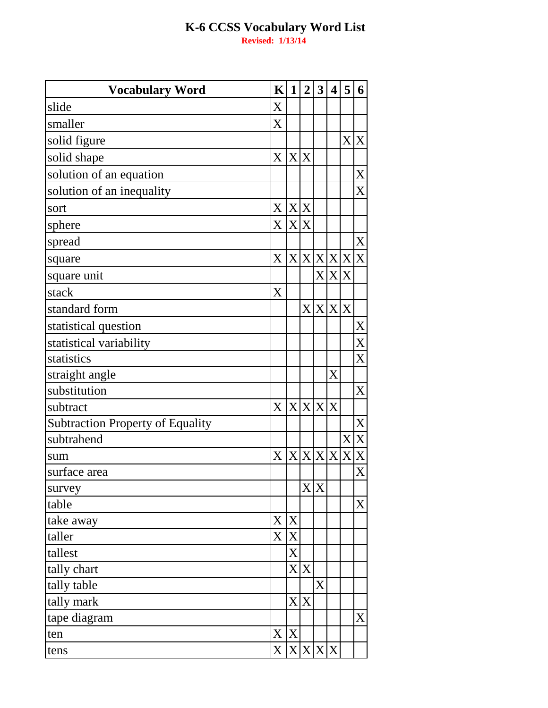| <b>Vocabulary Word</b>                  | $\mathbf K$               | $\mathbf 1$    | $\overline{2}$ | $\mathbf{3}$ | 4 | 5     | 6              |
|-----------------------------------------|---------------------------|----------------|----------------|--------------|---|-------|----------------|
| slide                                   | X                         |                |                |              |   |       |                |
| smaller                                 | X                         |                |                |              |   |       |                |
| solid figure                            |                           |                |                |              |   |       | X X            |
| solid shape                             | $\boldsymbol{\mathrm{X}}$ | X X            |                |              |   |       |                |
| solution of an equation                 |                           |                |                |              |   |       | $\mathbf X$    |
| solution of an inequality               |                           |                |                |              |   |       | X              |
| sort                                    | X                         | X              | X              |              |   |       |                |
| sphere                                  | X                         | X              | X              |              |   |       |                |
| spread                                  |                           |                |                |              |   |       | X              |
| square                                  | X                         |                | X X X X X X    |              |   |       |                |
| square unit                             |                           |                |                |              |   | X X X |                |
| stack                                   | X                         |                |                |              |   |       |                |
| standard form                           |                           |                | X              | X            | X | X     |                |
| statistical question                    |                           |                |                |              |   |       | $\mathbf X$    |
| statistical variability                 |                           |                |                |              |   |       | X              |
| statistics                              |                           |                |                |              |   |       | X              |
| straight angle                          |                           |                |                |              | X |       |                |
| substitution                            |                           |                |                |              |   |       | X              |
| subtract                                | X                         | X              | X              | $\mathbf{X}$ | X |       |                |
| <b>Subtraction Property of Equality</b> |                           |                |                |              |   |       | X              |
| subtrahend                              |                           |                |                |              |   | X     | $\mathbf X$    |
| sum                                     | X                         | X              | $\mathbf{X}$   | $\mathbf{X}$ | X | X     | $\overline{X}$ |
| surface area                            |                           |                |                |              |   |       | $\overline{X}$ |
| survey                                  |                           |                | $\mathbf{X}$   | X            |   |       |                |
| table                                   |                           |                |                |              |   |       | X              |
| take away                               | X                         | X              |                |              |   |       |                |
| taller                                  | X                         | $\mathbf X$    |                |              |   |       |                |
| tallest                                 |                           | X              |                |              |   |       |                |
| tally chart                             |                           |                | X X            |              |   |       |                |
| tally table                             |                           |                |                | X            |   |       |                |
| tally mark                              |                           | X <sub>l</sub> | X              |              |   |       |                |
| tape diagram                            |                           |                |                |              |   |       | X              |
| ten                                     | X                         | X              |                |              |   |       |                |
| tens                                    | X                         |                | X X X X        |              |   |       |                |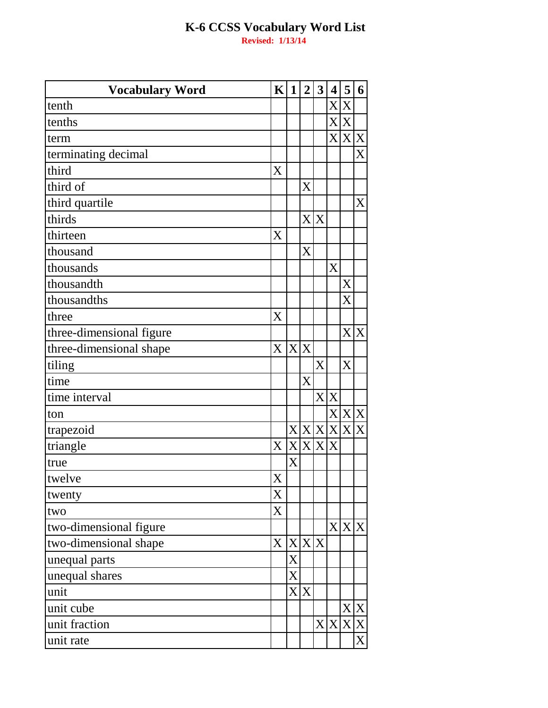| <b>Vocabulary Word</b>   | $\mathbf K$ | $\mathbf 1$    | $\overline{2}$          | $\mathbf{3}$   | 4   | 5     | 6           |
|--------------------------|-------------|----------------|-------------------------|----------------|-----|-------|-------------|
| tenth                    |             |                |                         |                | X   | X     |             |
| tenths                   |             |                |                         |                | X   | X     |             |
| term                     |             |                |                         |                | X   |       | X X         |
| terminating decimal      |             |                |                         |                |     |       | X           |
| third                    | X           |                |                         |                |     |       |             |
| third of                 |             |                | $\overline{\mathrm{X}}$ |                |     |       |             |
| third quartile           |             |                |                         |                |     |       | $\mathbf X$ |
| thirds                   |             |                | X <sub>l</sub>          | X              |     |       |             |
| thirteen                 | X           |                |                         |                |     |       |             |
| thousand                 |             |                | $\overline{\mathrm{X}}$ |                |     |       |             |
| thousands                |             |                |                         |                | X   |       |             |
| thousandth               |             |                |                         |                |     | X     |             |
| thousandths              |             |                |                         |                |     | X     |             |
| three                    | X           |                |                         |                |     |       |             |
| three-dimensional figure |             |                |                         |                |     |       | X X         |
| three-dimensional shape  | X           | X <sub>l</sub> | X                       |                |     |       |             |
| tiling                   |             |                |                         | X              |     | X     |             |
| time                     |             |                | $\overline{X}$          |                |     |       |             |
| time interval            |             |                |                         | X <sub>l</sub> | X   |       |             |
| ton                      |             |                |                         |                | X   |       | X X         |
| trapezoid                |             |                | X X X X                 |                |     |       | X X         |
| triangle                 | X           |                | X X X X                 |                |     |       |             |
| true                     |             | X              |                         |                |     |       |             |
| twelve                   | X           |                |                         |                |     |       |             |
| twenty                   | X           |                |                         |                |     |       |             |
| two                      | X           |                |                         |                |     |       |             |
| two-dimensional figure   |             |                |                         |                |     | X X X |             |
| two-dimensional shape    | X           |                | X X X                   |                |     |       |             |
| unequal parts            |             | X              |                         |                |     |       |             |
| unequal shares           |             | X              |                         |                |     |       |             |
| unit                     |             |                | X X                     |                |     |       |             |
| unit cube                |             |                |                         |                |     |       | X X         |
| unit fraction            |             |                |                         |                | X X |       | X X         |
| unit rate                |             |                |                         |                |     |       | X           |